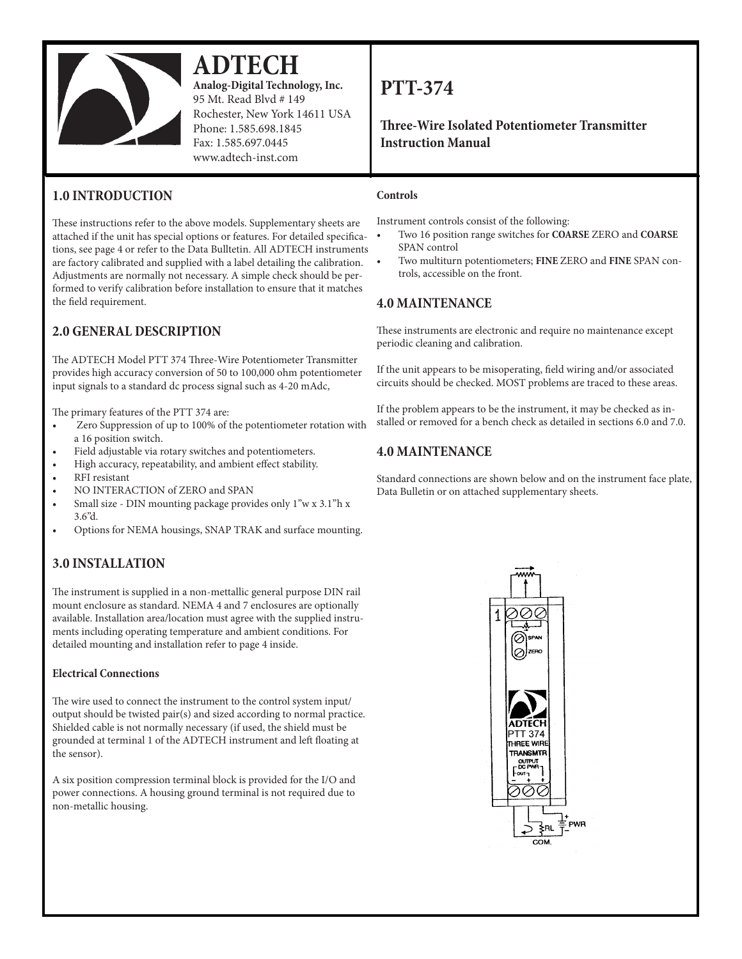

# **ADTECH**

**Analog-Digital Technology, Inc.** 95 Mt. Read Blvd # 149 Rochester, New York 14611 USA Phone: 1.585.698.1845 Fax: 1.585.697.0445 www.adtech-inst.com

# **1.0 INTRODUCTION**

These instructions refer to the above models. Supplementary sheets are attached if the unit has special options or features. For detailed specifications, see page 4 or refer to the Data Bulltetin. All ADTECH instruments are factory calibrated and supplied with a label detailing the calibration. Adjustments are normally not necessary. A simple check should be performed to verify calibration before installation to ensure that it matches the field requirement.

# **2.0 GENERAL DESCRIPTION**

The ADTECH Model PTT 374 Three-Wire Potentiometer Transmitter provides high accuracy conversion of 50 to 100,000 ohm potentiometer input signals to a standard dc process signal such as 4-20 mAdc,

The primary features of the PTT 374 are:

- Zero Suppression of up to 100% of the potentiometer rotation with a 16 position switch.
- Field adjustable via rotary switches and potentiometers.
- High accuracy, repeatability, and ambient effect stability.
- RFI resistant
- NO INTERACTION of ZERO and SPAN
- Small size DIN mounting package provides only 1"w x 3.1"h x 3.6"d.
- Options for NEMA housings, SNAP TRAK and surface mounting.

## **3.0 INSTALLATION**

The instrument is supplied in a non-mettallic general purpose DIN rail mount enclosure as standard. NEMA 4 and 7 enclosures are optionally available. Installation area/location must agree with the supplied instruments including operating temperature and ambient conditions. For detailed mounting and installation refer to page 4 inside.

### **Electrical Connections**

The wire used to connect the instrument to the control system input/ output should be twisted pair(s) and sized according to normal practice. Shielded cable is not normally necessary (if used, the shield must be grounded at terminal 1 of the ADTECH instrument and left floating at the sensor).

A six position compression terminal block is provided for the I/O and power connections. A housing ground terminal is not required due to non-metallic housing.

# **PTT-374**

**Three-Wire Isolated Potentiometer Transmitter Instruction Manual**

### **Controls**

Instrument controls consist of the following:

- Two 16 position range switches for **COARSE** ZERO and **COARSE** SPAN control
- Two multiturn potentiometers; FINE ZERO and FINE SPAN controls, accessible on the front.

## **4.0 MAINTENANCE**

These instruments are electronic and require no maintenance except periodic cleaning and calibration.

If the unit appears to be misoperating, field wiring and/or associated circuits should be checked. MOST problems are traced to these areas.

If the problem appears to be the instrument, it may be checked as installed or removed for a bench check as detailed in sections 6.0 and 7.0.

## **4.0 MAINTENANCE**

Standard connections are shown below and on the instrument face plate, Data Bulletin or on attached supplementary sheets.

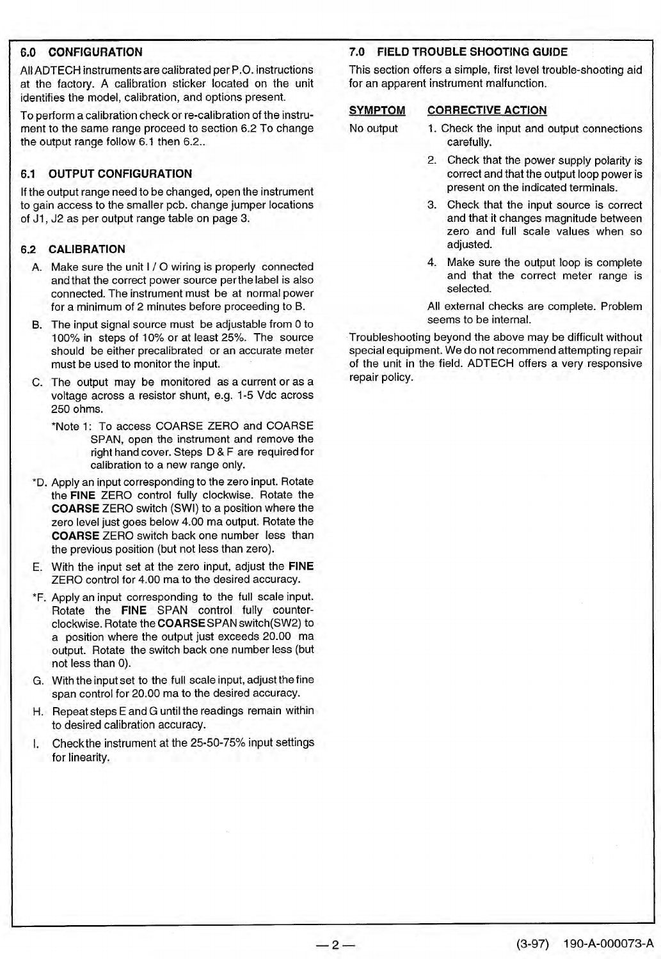### **6.0 CONFIGURATION**

All ADTECH instruments are calibrated per P.O. instructions at the factory. A calibration sticker located on the unit identifies the model, calibration, and options present.

To perform a calibration check or re-calibration of the instrument to the same range proceed to section 6.2 To change the output range follow 6.1 then 6.2..

### **6.1 OUTPUT CONFIGURATION**

If the output range need to be changed, open the instrument to gain access to the smaller pcb. change jumper locations of J1, J2 as per output range table on page 3.

### **6.2 CALIBRATION**

- A. Make sure the unit I / O wiring is properly connected and that the correct power source per the label is also connected. The instrument must be at normal power for a minimum of 2 minutes before proceeding to B.
- B. The input signal source must be adjustable from 0 to 100% in steps of 10% or at least 25%. The source should be either precalibrated or an accurate meter must be used to monitor the input.
- C. The output may be monitored as a current or as a voltage across a resistor shunt, e.g. 1-5 Vdc across 250 ohms.
	- \*Note 1: To access COARSE ZERO and COARSE SPAN, open the instrument and remove the right hand cover. Steps D & F are required for calibration to a new range only.
- \*D. Apply an input corresponding to the zero input. Rotate the FINE ZERO control fully clockwise. Rotate the **COARSE** ZERO switch (SWI) to a position where the zero level just goes below 4.00 ma output. Rotate the **COARSE** ZERO switch back one number less than the previous position (but not less than zero).
- E. With the input set at the zero input, adjust the FINE ZERO control for 4.00 ma to the desired accuracy.
- \*F. Apply an input corresponding to the full scale input. Rotate the FINE SPAN control fully counterclockwise. Rotate the COARSE SPAN switch(SW2) to a position where the output just exceeds 20.00 ma output. Rotate the switch back one number less (but not less than 0).
- G. With the input set to the full scale input, adjust the fine span control for 20.00 ma to the desired accuracy.
- H. Repeat steps E and G until the readings remain within to desired calibration accuracy.
- Check the instrument at the 25-50-75% input settings L. for linearity.

## 7.0 FIELD TROUBLE SHOOTING GUIDE

This section offers a simple, first level trouble-shooting aid for an apparent instrument malfunction.

#### **CORRECTIVE ACTION SYMPTOM**

No output

- 1. Check the input and output connections carefully.
- 2. Check that the power supply polarity is correct and that the output loop power is present on the indicated terminals.
- 3. Check that the input source is correct and that it changes magnitude between zero and full scale values when so adjusted.
- 4. Make sure the output loop is complete and that the correct meter range is selected.

All external checks are complete. Problem seems to be internal.

Troubleshooting beyond the above may be difficult without special equipment. We do not recommend attempting repair of the unit in the field. ADTECH offers a very responsive repair policy.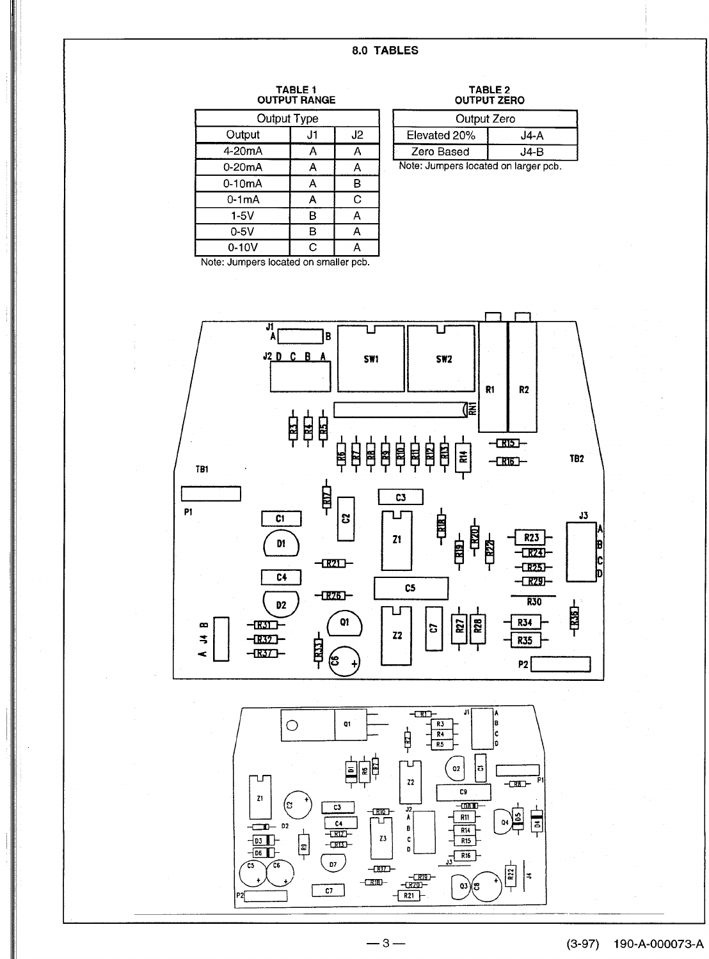### 8.0 TABLES

# TABLE 1<br>OUTPUT RANGE

| Output Type |    |    |  |
|-------------|----|----|--|
| Output      | J1 | J2 |  |
| 4-20mA      | Α  | А  |  |
| 0-20mA      | А  | А  |  |
| 0-10mA      | А  | в  |  |
| $0-1mA$     | А  | C  |  |
| $1-5V$      | B  | А  |  |
| $0-5V$      | B  | А  |  |
| 0-10V       | C  |    |  |

# TABLE 2<br>OUTPUT ZERO

| Output Zero                          |      |  |
|--------------------------------------|------|--|
| Elevated 20%                         | J4-A |  |
| Zero Based                           | J4-B |  |
| Note: Jumpers located on larger pcb. |      |  |

Note: Jumpers located on smaller pcb.

 $\mathbf{Z}^{\mathbf{1}}$ 

 $\begin{tabular}{c} 1 & 03 \\ \hline 1 & 06 \\ \hline 1 & 08 \\ \hline \end{tabular}$ 

(ဒ

 $\left\lfloor \frac{2}{n} \right\rfloor$ 

 $\overline{c_3}$ 

 $\frac{C4}{-CR12}$ 

 $-000 -$ 

 $\overline{p}$ 

 $\overline{c7}$ 



 $\overline{z_2}$ 

 $\frac{J^2}{A}$ 

 $\mathbf{c}$ 

 $\overline{a}$ 

-<u>1 हाष्</u>र)<br>- <u>1 स्थ</u>ान

 $\sqrt{R21}$ 

 $\mathbb{E}$  on  $\mathbb{E}$ 

ᡆ

73

 $-RIL$ 

 $RIB$ 

C9

 $-\overline{\text{URL}}$ 

 $R11$ 

 $R14$ 

 $\frac{1}{1}$  R<sub>15</sub>

 $\sqrt{\frac{R16}{}}$ 

03)(ఔ

 $-$ CRB $-$ 

[ئ

Q4

 $R22$ 

╞╕

 $\overline{z}$